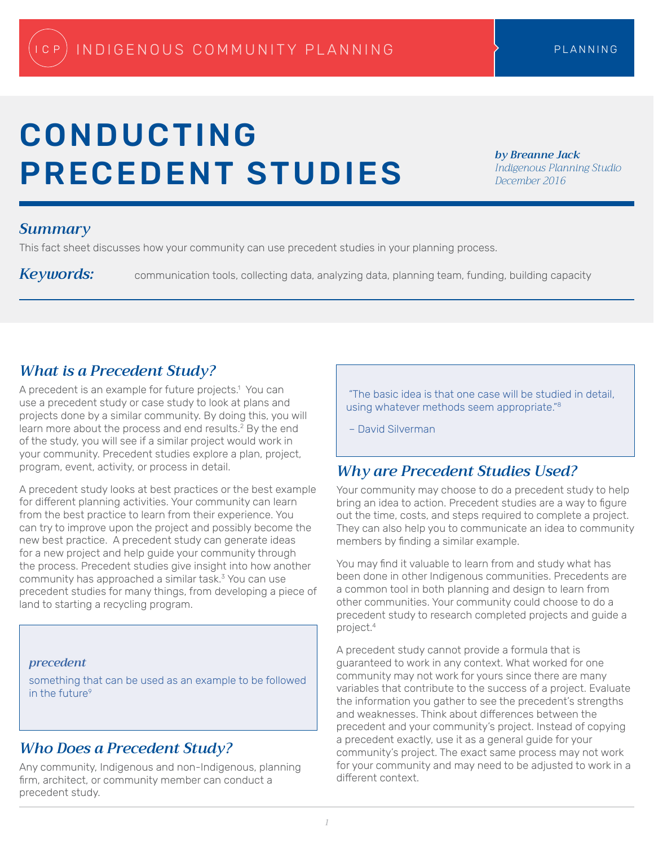# CONDUCTING PRECEDENT STUDIES

*by Breanne Jack Indigenous Planning Studio December 2016*

#### *Summary*

This fact sheet discusses how your community can use precedent studies in your planning process.

Keywords: communication tools, collecting data, analyzing data, planning team, funding, building capacity

## *What is a Precedent Study?*

A precedent is an example for future projects.1 You can use a precedent study or case study to look at plans and projects done by a similar community. By doing this, you will learn more about the process and end results.<sup>2</sup> By the end of the study, you will see if a similar project would work in your community. Precedent studies explore a plan, project, program, event, activity, or process in detail.

A precedent study looks at best practices or the best example for different planning activities. Your community can learn from the best practice to learn from their experience. You can try to improve upon the project and possibly become the new best practice. A precedent study can generate ideas for a new project and help guide your community through the process. Precedent studies give insight into how another community has approached a similar task.<sup>3</sup> You can use precedent studies for many things, from developing a piece of land to starting a recycling program.

#### *precedent*

something that can be used as an example to be followed in the future<sup>9</sup>

#### *Who Does a Precedent Study?*

Any community, Indigenous and non-Indigenous, planning firm, architect, or community member can conduct a precedent study.

 "The basic idea is that one case will be studied in detail, using whatever methods seem appropriate."8

– David Silverman

## *Why are Precedent Studies Used?*

Your community may choose to do a precedent study to help bring an idea to action. Precedent studies are a way to figure out the time, costs, and steps required to complete a project. They can also help you to communicate an idea to community members by finding a similar example.

You may find it valuable to learn from and study what has been done in other Indigenous communities. Precedents are a common tool in both planning and design to learn from other communities. Your community could choose to do a precedent study to research completed projects and guide a project.4

A precedent study cannot provide a formula that is guaranteed to work in any context. What worked for one community may not work for yours since there are many variables that contribute to the success of a project. Evaluate the information you gather to see the precedent's strengths and weaknesses. Think about differences between the precedent and your community's project. Instead of copying a precedent exactly, use it as a general guide for your community's project. The exact same process may not work for your community and may need to be adjusted to work in a different context.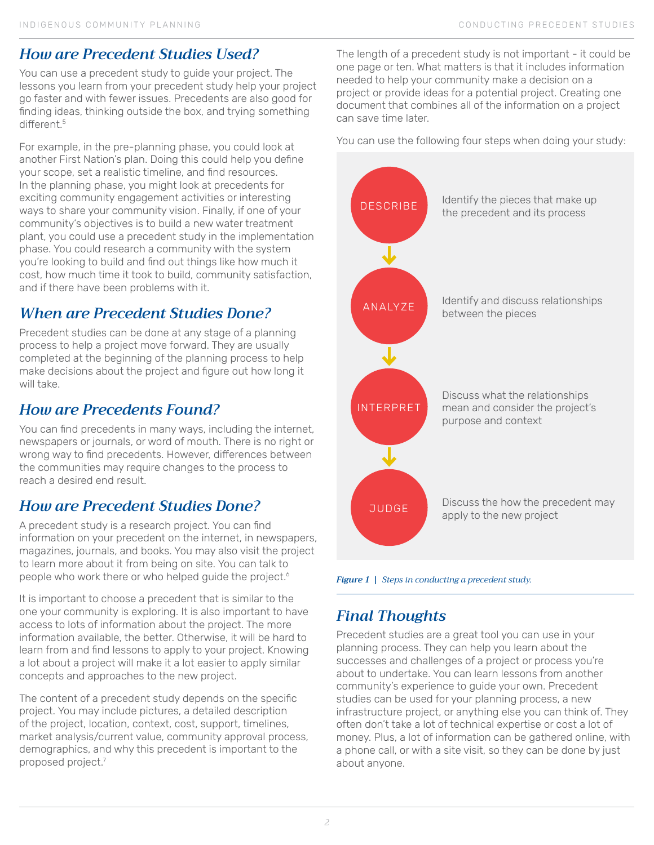## *How are Precedent Studies Used?*

You can use a precedent study to guide your project. The lessons you learn from your precedent study help your project go faster and with fewer issues. Precedents are also good for finding ideas, thinking outside the box, and trying something different.<sup>5</sup>

For example, in the pre-planning phase, you could look at another First Nation's plan. Doing this could help you define your scope, set a realistic timeline, and find resources. In the planning phase, you might look at precedents for exciting community engagement activities or interesting ways to share your community vision. Finally, if one of your community's objectives is to build a new water treatment plant, you could use a precedent study in the implementation phase. You could research a community with the system you're looking to build and find out things like how much it cost, how much time it took to build, community satisfaction, and if there have been problems with it.

# *When are Precedent Studies Done?*

Precedent studies can be done at any stage of a planning process to help a project move forward. They are usually completed at the beginning of the planning process to help make decisions about the project and figure out how long it will take.

# *How are Precedents Found?*

You can find precedents in many ways, including the internet, newspapers or journals, or word of mouth. There is no right or wrong way to find precedents. However, differences between the communities may require changes to the process to reach a desired end result.

# *How are Precedent Studies Done?*

A precedent study is a research project. You can find information on your precedent on the internet, in newspapers, magazines, journals, and books. You may also visit the project to learn more about it from being on site. You can talk to people who work there or who helped guide the project.<sup>6</sup>

It is important to choose a precedent that is similar to the one your community is exploring. It is also important to have access to lots of information about the project. The more information available, the better. Otherwise, it will be hard to learn from and find lessons to apply to your project. Knowing a lot about a project will make it a lot easier to apply similar concepts and approaches to the new project.

The content of a precedent study depends on the specific project. You may include pictures, a detailed description of the project, location, context, cost, support, timelines, market analysis/current value, community approval process, demographics, and why this precedent is important to the proposed project.7

The length of a precedent study is not important - it could be one page or ten. What matters is that it includes information needed to help your community make a decision on a project or provide ideas for a potential project. Creating one document that combines all of the information on a project can save time later.

You can use the following four steps when doing your study:



*Figure 1 | Steps in conducting a precedent study.*

# *Final Thoughts*

Precedent studies are a great tool you can use in your planning process. They can help you learn about the successes and challenges of a project or process you're about to undertake. You can learn lessons from another community's experience to guide your own. Precedent studies can be used for your planning process, a new infrastructure project, or anything else you can think of. They often don't take a lot of technical expertise or cost a lot of money. Plus, a lot of information can be gathered online, with a phone call, or with a site visit, so they can be done by just about anyone.